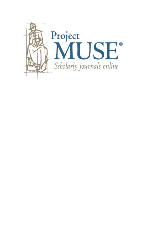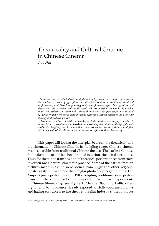# Theatricality and Cultural Critique in Chinese Cinema

*Luo Hui* 

The various ways in which theatre and film interact generate diverse forms of theatrical*ity in Chinese cinema: jingju films, narrative films containing traditional theatrical performances, and films incorporating modern performance types. The significance of theatre in Chinese cinema will be discussed with two questions in mind: (1) to what extent the aesthetics of traditional Chinese theatre cross over from stage to screen and*  (2) whether filmic representations of theatre generate a critical discourse vis-à-vis state *ideology and cultural policies.*

*Luo Hui is a PhD candidate in East Asian Studies at the University of Toronto. He is completing a dissertation on* Liaozhai, *a collection of ghost stories by the Qing dynasty author Pu Songling, and its adaptations into vernacular literature, theatre, and film. Mr. Luo obtained his MA in comparative literature from Indiana University.*

This paper will look at the interplay between the theatrical  $^1$  and the cinematic in Chinese film. In its fledgling stage, Chinese cinema was inseparable from traditional Chinese theatre. The earliest Chinese filmmakers and actors had been trained in various theatrical disciplines. Thus, for them, the transposition of theatrical performances from stage to screen was a natural cinematic practice. Some of the earliest motion pictures made in China were scenes from *jingju* and other regional theatrical styles. Ever since the Fengtai photo shop began filming Tan Xinpei's *jingju* performance in 1905, adapting traditional stage performance for the screen has been an important part of early experiments in Chinese filmmaking (see Figure 1).<sup>2</sup> In the 1930s and 1940s, catering to an urban audience already exposed to Hollywood melodramas and having easy access to live theatre, the film industry shifted its focus

*Asian Theatre Journal,* vol. 25, no. 1 (Spring 2008). © 2008 by University of Hawai'i Press. All rights reserved.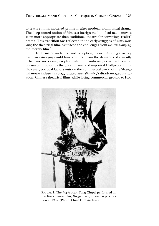to feature films, modeled primarily after modern, nonmusical drama. The deep-rooted notion of film as a foreign medium had made movies seem more appropriate than traditional theatre for conveying "realist" drama. This transition was reflected in the early struggles of *xiren dianying,* the theatrical film, as it faced the challenges from *wenren dianying*, the literary film.<sup>3</sup>

In terms of audience and reception, *wenren dianying*'s victory over *xiren dianying* could have resulted from the demands of a mostly urban and increasingly sophisticated film audience, as well as from the pressures imposed by the great quantity of imported Hollywood films. However, political factors outside the commercial world of the Shanghai movie industry also aggravated *xiren dianying*'s disadvantageous situation. Chinese theatrical films, while losing commercial ground to Hol-



Figure 1. The *jingju* actor Tang Xinpei performed in the first Chinese film, *Dingjunshan*, a Fengtai production in 1905. (Photo: China Film Archive)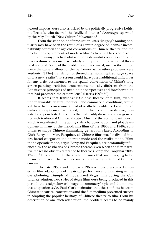lywood imports, were also criticized by the politically progressive Leftist intellectuals, who favored the "civilized dramas" *(wenmingxi)* spawned by the May Fourth "New Culture" Movement.<sup>4</sup>

From the standpoint of production, *xiren dianying*'s waning popularity may have been the result of a certain degree of intrinsic incompatibility between the age-old conventions of Chinese theatre and the production requirements of modern film. As Kristine Harris points out, there were many practical obstacles for a dramatist crossing over to the new medium of cinema, particularly when presenting traditional theatrical material. Some of the problems were technical, such as the limited space the camera allows for the performer, while other problems were aesthetic: "[The] translation of three-dimensional stylized stage space onto a new "realist" flat screen would have posed additional difficulties for any artist accustomed to the spatial conventions of China's long screen-painting tradition—conventions radically different from the Renaissance principles of fixed point perspectives and foreshortening that had produced the camera lens" (Harris 1997: 60).

It seems that transposing Chinese theatre onto film, even if under favorable cultural, political, and commercial conditions, would still have had to overcome a host of aesthetic problems. Even though earlier attempts may have failed, the influence of *xiren dianying* persisted and penetrated into films that ostensibly disavowed their genetic ties with traditional Chinese theatre. Much of the aesthetic influence, which is manifested in the acting style, characterization, and plot development in many of the melodrama films of the 1930s and 1940s, continues to shape Chinese filmmaking generations later. According to Chris Berry and Mary Farquhar, all Chinese films may be divided into two broad categories: the operatic mode and the realist mode. Films in the operatic mode, argue Berry and Farquhar, are profoundly influenced by the aesthetics of Chinese theatre, even when the film narrative makes no obvious reference to theatre (Berry and Farquhar 2006: 47–55).5 It is ironic that the aesthetic issues that *xiren dianying* failed to surmount seem to have become an endearing feature of Chinese cinema.

The late 1950s and the early 1960s witnessed a revived interest in film adaptations of theatrical performance, culminating in the overwhelming triumph of modernized *jingju* films during the Cultural Revolution. Two styles of *jingju* films were being produced in this period: the straightforward "stage documentary" style and the innovative adaptation style. Paul Clark maintains that the conflicts between Chinese theatrical conventions and the film medium prevented success in adapting the popular heritage of Chinese theatre to film. From his description of one such adaptation, the problem seems to be mainly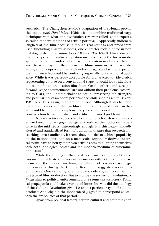aesthetic: "The Changchun Studio's adaptation of the Henan provincial opera *(yuju) Hua Mulan* (1956) tried to combine traditional stage techniques with what one disgruntled reviewer called 'some expert's so-called modern methods of artistic portrayal.' Apparently audiences laughed at the film because, although real settings and props were used (including a weaving loom), one character rode a horse in normal stage style, that is, minus horse" (Clark 1987: 68 –9). Clark observes that this type of innovative adaptation involves mixing the two semiotic systems: the largely indexical and symbolic system in Chinese theatre and the iconic system that fits in the filmic mimesis. When realistic settings and props were used with indexical signs and symbolic props, the ultimate effect could be confusing, especially to a traditional audience. While it was perfectly acceptable for a character to ride a stick representing a horse on a conventional stage, it would look ridiculous to use one for an on-location film shoot. On the other hand, straightforward "stage documentaries" are not without their problems. According to Clark, the ultimate challenge lies in "preserving the strengths and peculiarities of an opera performance while shaping a film" (Clark 1987: 69). This, again, is an aesthetic issue. Although it was believed that the emphasis on realism in film and the centrality of artifice in theatre could be mutually complementary, how to reconcile the inherent contradiction between realism and artifice remained problematic.

No satisfactory solutions had been found before drastically modernized revolutionary *jingju (yangbanxi)* replaced the traditional repertoire in the mid 1960s. Interestingly enough, it is this heavy-handedly altered and standardized form of traditional theatre that succeeded in reaching a mass audience. It seems that, in order to achieve popularity on the national level and on a mass scale, regionally derived theatrical forms have to betray their own artistic roots by aligning themselves with both ideological power and the modern medium of dissemination—film. $6$ 

While the filming of theatrical performances in early Chinese cinema may indicate an innocent fascination with both traditional art forms and the modern medium, the filming of revolutionary *jingju* performances during the Cultural Revolution suggests a very different picture. One cannot ignore the obvious ideological forces behind this type of film production. But to ascribe the success of revolutionary *jingju* films to political enforcement alone seems unsatisfactory. Political propaganda could take a variety of forms, but why did the ideology of the Cultural Revolution give rise to this particular type of cultural product? And why did the modernized *jingju* film correspond so well with the art policies of that period?

Apart from political factors, certain cultural and aesthetic char-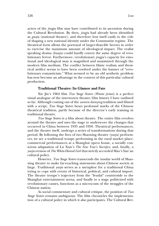acters of the *jingju* film may have contributed to its ascension during the Cultural Revolution. By then, *jingju* had already been identified as *guoju* (national theatre), and therefore lent itself easily to the role of shaping a new national identity under the Communist regime. The theatrical form allows the portrayal of larger-than-life heroes in order to exercise the maximum amount of ideological impact. The realist speaking drama *(huaju)* could hardly convey the same degree of revolutionary fervor. Furthermore, revolutionary *jingju*'s capacity for emotional and ideological sway is magnified and maximized through the modern film medium. The conflict between filmic realism and theatrical artifice seems to have been resolved under the banner of "revolutionary romanticism." What seemed to be an old aesthetic problem has now become an advantage in the context of this particular cultural production.

### Traditional Theatre: Its Glamor and Fate

Xie Jin's 1964 film *Two Stage Sisters (Wutai jiemei)* is a perfect visual analogue of the interwoven theatre/film history I have outlined so far. Although coming out of the *wenren dianying* tradition and filmed with a script, *Two Stage Sisters* bears profound marks of the Chinese theatrical tradition, partly because of the director's early training in traditional theatre.

*Two Stage Sisters* is a film about theatre. The entire film revolves around the theatre and uses the stage to underscore the changes that occurred in China between 1935 and 1950. Theatrical performances, and the theatre itself, undergo a series of transformations during that period. By following the lives of two Shaoxing theatre *(yueju)* performers, we see a traditional troupe performing in the rural market place, commercial performances at a Shanghai opera house, a socially conscious adaptation of Lu Xun's *The New Year's Sacrifice*, and, finally, a *yueju* version of *The White-Haired Girl* that strictly accorded Mao's Yan'an cultural policy.

However, *Two Stage Sisters* transcends the insular world of Shaoxing theatre to make far-reaching statements about Chinese society at large. Traditional *yueju* serves as a metaphor for a traditional China trying to cope with events of historical, political, and cultural import. The theatre troupe's trajectory from the "feudal" countryside to the Shanghai entertainment arena, and finally to a stage politicized with revolutionary causes, functions as a microcosm of the struggles of the Chinese nation.

As social commentary and cultural critique, the position of *Two Stage Sisters* remains ambiguous. The film chronicles the implementation of a cultural policy in which it also participates. The Cultural Rev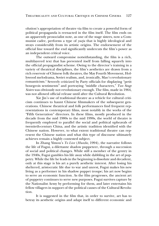olution's appropriation of theatre via film to create a powerful form of political propaganda is reenacted in the film itself. The film ends on an apparently prosocialist note, as one of the stage sisters, now a Communist cadre, performs a type of *yueju* that is highly ideological and strays considerably from its artistic origins. The endorsement of the official line toward the end significantly undercuts the film's power as an independent critical voice.

The outward compromise notwithstanding, the film is a rich, multilayered text that has prevented itself from falling squarely into the official propagandist scheme. Owing to the director's training in a variety of theatrical disciplines, the film's aesthetics are drawn from a rich reservoir of Chinese folk theatres, the May Fourth Movement, Hollywood melodrama, Soviet realism, and, ironically, Mao's revolutionary romanticism.<sup>7</sup> Severely criticized by Party officials for displaying "petit bourgeois sentiments" and portraying "middle characters," *Two Stage Sisters* was obviously not revolutionary enough. The film, made in 1964, was not allowed official release until after the Cultural Revolution.

Xie Jin's use of traditional theatre as a vehicle for cultural criticism continues to haunt Chinese filmmakers of the subsequent generations. Chinese theatrical and folk performances find frequent representations in contemporary films, most notably in the works of the "Fifth Generation" directors. In these films, mostly produced in the decade from the mid 1980s to the mid 1990s, the world of theatre is frequently employed to parallel the social and political upheavals of twentieth-century China, and the artistic tradition identified with the Chinese nation. However, to what extent traditional theatre can represent the Chinese nation and what this type of discourse ultimately achieves remain a highly contested subject.

In Zhang Yimou's *To Live* (*Huozhe,* 1994), the narrative follows the life of Fugui, a dilettante shadow puppeteer, through a succession of social and political changes. While still a member of the gentry in the 1940s, Fugui gambles his life away while dabbling in the art of puppetry. While the life he leads in the beginning is dissolute and decadent, only at this stage is his art a purely aesthetic interest. After losing his sheltered, aristocratic life due to war and unrest, Fugui makes his new living as a performer in his shadow puppet troupe; his art now begins to serve an economic function. As the film progresses, the ancient art of puppetry continues to serve new purposes. Fugui survives capture by the Nationalist Army by performing for them, and later entertains his fellow villagers in support of the political causes of the Cultural Revolution.

It is suggested in the film that, in order to survive, art has to betray its aesthetic origins and adapt itself to different economic and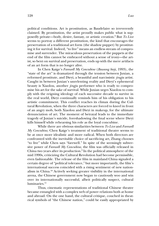political conditions. Art is prostitution, as Baudelaire so irreverently claimed. By prostitution, the artist proudly makes public what is supposedly private—body, desire, fantasy, or artistic creation.8 But *To Live* seems to portray a different prostitution, the kind that encourages the preservation of a traditional art form (the shadow puppet) by prostituting it for survival. Indeed, "to live" means an endless stream of compromise and surrender. The miraculous preservation of the puppets at the end of the film cannot be embraced without a sense of irony—the artist, so bent on survival and preservation, ends up with the mere artifacts of an art form that is no longer alive.

In Chen Kaige's *Farewell My Concubine* (*Bawang bieji,* 1993), the "state of the art" is dramatized through the tension between Juxian, a reformed prostitute, and Dieyi, a beautiful and narcissistic *jingju* artist. Caught in between Juxian's unrelenting reality and Dieyi's ephemeral beauty is Xiaolou, another *jingju* performer who is ready to compromise his art for the sake of survival. While Juxian urges Xiaolou to comply with the reigning ideology of each successive decade to survive in the real world, Dieyi continually reminds him of his obligation to his artistic commitment. This conflict reaches its climax during the Cultural Revolution, when the three characters are forced to kneel in front of an angry mob, both Xiaolou and Dieyi in makeup, for the ultimate denunciation of art. The moment of betrayal leads to the immediate tragedy of Juxian's suicide, foreshadowing the final scene where Dieyi kills himself while rehearsing his role as the loyal concubine.

While there are obvious similarities between *To Live* and *Farewell My Concubine,* Chen Kaige's treatment of traditional theatre seems to be at once more idealistic and more radical. When both directors are confronted with the inevitable choice of sacrificing art, Zhang chooses "to live" while Chen says "farewell." In spite of the seemingly subversive power of *Farewell My Concubine*, the film was officially released in China two years after its production.<sup>9</sup> In the political atmosphere of the mid 1990s, criticizing the Cultural Revolution had become permissible, even fashionable. The release of the film in mainland China signaled a certain degree of "political tolerance," but more importantly, the film's international success coincided with a rising sentiment of new nationalism in China.10 Actively seeking greater visibility in the international arena, the Chinese government now began to cautiously woo and win over its internationally successful, albeit politically suspect, cultural luminaries.<sup>11</sup>

Thus, cinematic representations of traditional Chinese theatre became entangled with a complex web of power relations both at home and abroad. On the one hand, the cultural critique, couched in theatrical symbols of "the Chinese nation," could be easily appropriated by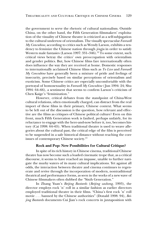the government to serve the rhetoric of cultural nationalism. Outside China, on the other hand, the Fifth Generation filmmakers' exploitation of the visuality of Chinese theatre is criticized as a self-subjugation to the cultural undertow of orientalism. The visually spectacular *Farewell My Concubine,* according to critics such as Wendy Larson, exhibits a tendency to feminize the Chinese nation through *jingju* in order to satisfy Western male fantasies (Larson 1997: 331–346).<sup>12</sup> To some extent, such critical views betray the critics' own preoccupation with orientalism and gender politics. But, how Chinese films fare internationally often does influence the way they are received at home. Domestic responses to internationally acclaimed Chinese films such as *To Live* and *Farewell My Concubine* have generally been a mixture of pride and feelings of insecurity, precisely based on similar perceptions of orientalism and exoticism. Some Chinese critics are especially uncomfortable with the portrayal of homosexuality in *Farewell My Concubine* ( Jun 1994: 24; Shu 1994: 64–66), a sentiment that seems to confirm Larson's criticism of Chen Kaige's "feminization."

However, critical debates from the standpoint of China-West cultural relations, often emotionally charged, can distract from the real import of these films in their primary, Chinese context. What seems to be left out of the discussion is the question, how relevant and effective are the films as critiques of Chinese political culture? Even on this front, much Fifth Generation work is faulted, perhaps unfairly, for its reluctance to engage with the here-and-now before it, too, becomes history (Cai 1998: 64–65). When traditional theatre is used to weave allegories about the cultural past, the critical edge of the film is perceived to be suspended in a safe historical distance without reaching the core issues of contemporary Chinese society.13

## Rock and Pop: New Possibilities for Cultural Critique?

In spite of its rich history in Chinese cinema, traditional Chinese theatre has now become such a loaded cinematic trope that, as a critical discourse, it seems to have reached an impasse, unable to further navigate the murky waters of its many cultural implications. Yet against all odds, the interaction between theatre and cinema continues to regenerate and revive through the incorporation of modern, nontraditional theatrical and performance forms, as seen in the works of a new wave of Chinese filmmakers often dubbed the "Sixth Generation."

In Zhang Yuan's *Beijing Bastards* (*Beijing zazhong,* 1993), the director employs rock 'n' roll in a similar fashion as earlier directors employed traditional theatre in their films. "China's first rock 'n' roll movie . . . banned by the Chinese authorities" (Donald 1998: 94), *Beijing Bastards* documents Cui Jian's rock concerts in juxtaposition with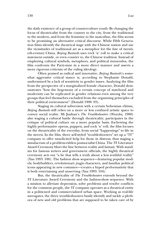the daily existence of a group of counterculture youth. By changing the focus of theatricality from the country to the city, from the traditional to the modern, and from the feminine to the masculine, the film seems to be promising an alternative critical discourse. While Fifth Generation films identify the theatrical stage with the Chinese nation and use the vicissitudes of traditional art as a metaphor for the fate of twentieth-century China, *Beijing Bastards* uses rock 'n' roll to make a critical statement outside, or even counter to, the Chinese tradition. Instead of employing cultural symbols, metaphors, and political innuendos, the film confronts the Party-state in a more direct manner and asserts a more rigorous criticism of the ruling ideology.

Often praised as radical and innovative, *Beijing Bastards*'s somewhat aggressive critical stance is, according to Stephanie Donald, undermined by a lack of sensitivity to gender issues. Analyzing the film from the perspective of a marginalized female character, Donald demonstrates "how the hegemony of a certain concept of statehood and modernity can be replicated in gender relations even among the very groups that feel themselves excluded from the organizing principles of their political environment" (Donald 1998: 93).

Staging its cultural subversion with a certain bohemian elitism, *Beijing Bastards* still relies on a more or less confined artistic space to convey social reality. Mi Jiashan's *The Troubleshooters* (*Wanzhu,* 1988) also waging a cultural battle through theatricality, participates in the critique of political culture on a more popular basis. Eschewing the highly performative operas, puppets, and rock 'n' roll, the film focuses on the theatricality of the everyday, from social "happenings" to life in the streets. In the film, three self-styled "troubleshooters" set up a "3T" company to offer unsolicited help for those in distress, thus staging a simulacrum of a problem-ridden postsocialist China. The 3T Literature Award Ceremony blurs the line between reality and fantasy. With standins for famous writers and government officials, the highly theatrical ceremony acts out "a lie that tells a truth about a less truthful reality" (Yau 1993: 100). The fashion show sequence—featuring popular models, bodybuilders, revolutionary *jingju* characters, and familiar political icons appearing in new costumes—creates a hyped performativity that is both entertaining and unnerving (Yau 1993: 104).

But, the theatricality of *The Troubleshooters* extends beyond the 3T Literature Award Ceremony and the fashion-show sequence. With a mission to alleviate depression, solve problems and resolve conflicts for the common people, the 3T company operates as a theatrical entity in a politicized and commercialized urban space. Working as real-life surrogates, the three troubleshooters busily identify and tackle a plethora of new and old problems that are supposed to be taken care of by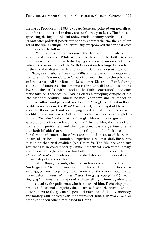the Party. Produced in 1988, *The Troubleshooters* pointed out new directions for cultural criticism that were cut short a year later. The film, still appearing daring and playful today, made uncanny predictions about its own fate: political power armed with commercialism, the chief target of the film's critique, has eventually overpowered that critical voice in the decade to follow.

Yet it is too soon to pronounce the demise of the theatrical film as a critical discourse. While it might be true that the Fifth Generation now seems content with displaying the visual glamour of Chinese culture, the more iconoclastic Sixth Generation has forged a new form of theatricality that is firmly anchored in China's present situation.<sup>14</sup> Jia Zhangke's *Platform* (*Zhantai,* 2000) charts the transformation of the state-run Peasant Culture Group in a small city into the privatized and reinvented All-Star Rock 'n' Breakdance Electronic Band, during a decade of intense socioeconomic reform and dislocation from the 1980s to the 1990s. With a nod to the Fifth Generation's epic cinematic take on theatricality, *Platform* offers a sweeping critique of the late twentieth-century Chinese political economy and its impact on popular culture and personal freedom. Jia Zhangke's interest in theatricality resurfaces in *The World* (*Shijie,* 2004), a portrayal of life within a kitschy theme park outside Beijing filled with shrunken replicas of world-famous landmarks. Often interpreted as a critique of globalization, *The World* is the first Jia Zhangke film to receive government approval and official release in China.<sup>15</sup> In the film, the lives of the theme park performers and their performances merge into one, as they both inhabit that world and depend upon it for their livelihood. For these performers, whose lives are trapped in an artificial world, theatrical acts become mundane experiences, whereas daily life begins to take on theatrical qualities (see Figure 2). The film seems to suggest that life in contemporary China *is* theatrical, even without stage and props. Thus, Jia Zhangke has both inherited the hyperrealism of *The Troubleshooters* and advanced the critical discourse embedded in the theatricality of the everyday.

After *Beijing Bastards,* Zhang Yuan has slowly emerged from the "underground" to the mainstream, but his work continues to display an engaged, and deepening, fascination with the critical potential of theatricality. In *East Palace West Palace* (*Donggong xigong,* 1997), recurring *jingju* scenes are juxtaposed with an all-night interrogation of a homosexual by the policeman who has arrested him. Eschewing grand gestures of national allegories, the theatrical flashbacks provide an intimate subtext to the gay man's personal narrative of identity, memory, and fantasy. Still labeled as an "underground" film, *East Palace West Palace* has not been officially released in China.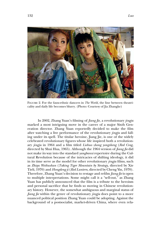

Figure 2. For the faux-ethnic dancers in *The World,* the line between theatricality and daily life becomes blurry. (Photo: Courtesy of Jia Zhangke)

In 2002, Zhang Yuan's fi lming of *Jiang Jie,* a revolutionary *jingju*  marked a most intriguing move in the career of a major Sixth Generation director. Zhang Yuan reportedly decided to make the film after watching a live performance of the revolutionary *jingju* and falling under its spell. The titular heroine, Jiang Jie, is one of the widely celebrated revolutionary figures whose life inspired both a revolutionary *jingju* in 1964 and a film titled *Liehuo zhong yongsheng* (*Red Crag,* directed by Shui Hua, 1965). Although the 1964 version of *Jiang Jie* did not make its way into the standard *yangbanxi* repertoire during the Cultural Revolution because of the intricacies of shifting ideology, it did in its time serve as the model for other revolutionary *jingju* films, such as *Zhiqu Weihushan* (*Taking Tiger Mountain by Strategy,* directed by Xie Tieli, 1970) and *Hongdeng ji* (*Red Lantern,* directed by Cheng Yin, 1970). Therefore, Zhang Yuan's decision to restage and refilm *Jiang Jie* is open to multiple interpretations. Some might call it a "sell-out," as Zhang Yuan has publicly announced that the film is a tribute to the heroism and personal sacrifice that he finds so moving in Chinese revolutionary history. However, the somewhat ambiguous and marginal status of *Jiang Jie* within the genre of revolutionary *jingju* does point to a more nuanced political position Zhang Yuan could be adopting. Against the background of a postsocialist, market-driven China, where even rela-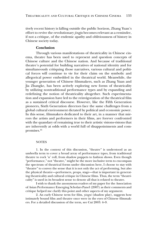tively recent history is falling outside the public horizon, Zhang Yuan's effort to revive the revolutionary *jingju* becomes relevant as a reminder, if not a critique, of the endemic apathy and obliviousness of history in Chinese society today.

## Conclusion

Through various manifestations of theatricality in Chinese cinema, theatre has been used to represent and question concepts of Chinese culture and the Chinese nation. And because of traditional theatre's potential for building narratives of national identity and for simultaneously critiquing those narratives, various cultural and political forces will continue to vie for their claim on the symbolic and allegorical power embedded in the theatrical world. Meanwhile, the younger generation of Chinese filmmakers, such as Zhang Yuan and Jia Zhangke, has been actively exploring new forms of theatricality by utilizing nontraditional performance types and by expanding and redefining the notion of theatricality altogether. Such experimentation and expansion have led to the reinvigoration of the theatrical film as a sustained critical discourse. However, like the Fifth Generation pioneers, Sixth Generation directors face the same challenges from a global cultural environment dictated by political and economic power. In this sense, filmmakers dedicated to their art, in a manner that mirrors the artists and performers in their films, are forever confronted with the quandary of remaining true to their artistic visions-visions that are inherently at odds with a world full of disappointments and compromises.16

#### **NOTES**

1. In the context of this discussion, "theatre" is understood as an umbrella term to cover a broad array of performance types, from traditional theatre to rock 'n' roll, from shadow puppets to fashion shows. Even though "performance," not "theatre," might be the more inclusive term to encompass the spectrum of theatrical forms under discussion here, I choose to stay with "theatre" to convey the sense that it is not only the act of performing, but also the physical theatre—performers, props, stage—that is important in generating theatricality and cultural critique in Chinese films. Thus, the term "theatricality" is used in its broadest sense to denote all that is related to theatre.

I wish to thank the anonymous readers of my paper for the Association of Asian Performance Emerging Scholars Panel (2007) as their comments and critique helped me clarify this point and other aspects of my argument.

2. An early Chinese term for film, *yingxi* (shadow play), suggests how intimately bound film and theatre once were in the eyes of Chinese filmmakers. For a detailed discussion of the term, see Cui 2003: 4–9.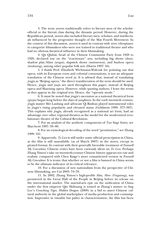3. The term *wenren* traditionally refers to literary men of the scholarofficial or the literati class during the dynastic period. However, during the Republican period, *wenren* also included literary men, scholars, and intellectuals infl uenced by the progressive thought of the May Fourth Movement. In the context of this discussion, *wenren* is used in contrast with *xiren* (thespians) to categorize filmmakers who were not trained in traditional theatre and who had no obvious theatrical influence in their filmmaking.

4. Qu Qiubai, head of the Chinese Communist Party from 1928 to 1929, declared war on the "reactionary" arts, including big shows *(daxi),*  shadow play/films *(yingxi)*, slapstick shows *(mutourenxi)*, and Suzhou opera *(tanhuang),* among other popular folk arts (Harris 1997: 56).

5. I thank Prof. Elizabeth Wichmann-Walczak for pointing out that opera, with its European roots and colonial connotations, is not an adequate translation of the Chinese word  $ju$ . It is advised that, instead of translating *jingju* as "Beijing opera," the direct transliteration of the term should be used. Hence, *jingju* and *yueju* are used throughout this paper, instead of Beijing opera and Shaoxing opera. However, while quoting authors, I leave the terms as they appear in the original text. Hence, the "operatic mode."

6. It must be noted that *jingju*'s ascension as a national theatrical form *(guoju)* began long before the days of *yangbanxi.* In the early twentieth century, *jingju* master Mei Lanfang and advocate Qi Rushan played instrumental roles in *jingju*'s rising popularity and elevated status (Goldstein 1999: 377–387). This explains why *jingju,* already recognized as a national art form, had an advantage over other regional theatres as the model for the modernized revolutionary theatre of the Cultural Revolution.

7. For an analysis of the aesthetic components of *Two Stage Sisters,* see Marchetti 1997: 59–80.

8. For an etymological decoding of the word "prostitution," see Zhang 1999: 161.

9. Apparently, *To Live* is still under some official proscription in China, as the film is still unavailable (as of March  $2007$ ) in the stores, except in pirated format. In contrast with their generally favorable treatment of *Farewell My Concubine,* Chinese critics have been curiously silent on *To Live.* Perhaps Zhang Yimou's take on twentieth-century Chinese history appears too raw and realistic compared with Chen Kaige's more romanticized version in *Farewell My Concubine.* It is ironic that whether or not a film is banned in China seems to be the ultimate indicator of its critical relevance.

10. For a discussion of new nationalism from the perspective of Chinese filmmaking, see Cui 2003: 74–78.

11. In 2002, Zhang Yimou's high-profile film, *Hero (Yingxiong)*, was premiered in the Great Hall of the People in Beijing before its release on the international market. The martial-arts epic on the unification of China under the first emperor Qin Shihuang is touted as Zhang's answer to Ang Lee's *Crouching Tiger, Hidden Dragon* (2000) in a bid to assert Chinese cultural authority in the global marketplace of media production and consumption. Impressive in visuality but paltry in characterization, the film has been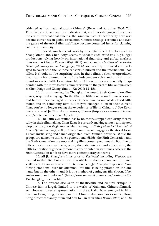criticized as "too nationalistically Chinese" (Berry and Farquhar 2006: 73). This rivalry of Zhang and Lee indicates that, as Chinese-language film enters the era of transnational cinema, the symbolic uses of theatricality have also become currencies in global circulation. Chinese settings, costumes, and even the genre of theatrical film itself have become contested items for claiming cultural authenticity.

12. Indeed, much recent work by now established directors such as Zhang Yimou and Chen Kaige seems to validate such criticisms. Big-budget productions relying heavily on international financing and global markets, films such as Chen's Promise (Wuji, 2005) and Zhang's The Curse of the Golden *Flower* (*Mancheng jin dai huangjinjia,* 2006) are carefully produced and packaged to court both the Chinese censorship bureau and the international box office. It should not be surprising that, in these films, a slick, overproduced theatricality has blunted much of the independent spirit and critical thrust found in earlier Fifth Generation films. Chinese critics are generally disappointed with the move toward commercialism on the part of film auteurs such as Chen Kaige and Zhang Yimou (Xu 2006: 12–15).

13. In an interview, Jia Zhangke, the noted Sixth Generation filmmaker, is quoted as saying: "In the 80s, the fifth generation filmmakers were real heroes: they managed to break Chinese cinema out of its closed little mould and try something new. But they've changed a lot: in their current films, you're no longer seeing the experience of life in China . . ." See Kevin Lee's profile of Jia Zhangke in *Senses of Cinema* (http://www.sensesofcinema .com/contents/directors/03/jia.html).

14. The Fifth Generation has by no means stopped exploring theatricality in their filmmaking. Chen Kaige is currently making a much-anticipated biopic of the great *jingju* master Mei Lanfang. In *Riding Alone for Thousands of Miles* (*Qianli zou danqi,* 2006), Zhang Yimou again engages a theatrical form, a shamanistic song-and-dance originated from Yunnan province. While the groups are named to indicate a generational divide, the Fifth Generation and the Sixth Generation are now making films contemporaneously. But, due to differences in personal background, thematic interest, and artistic style, the Fifth Generation is generally more history-oriented in its themes, whereas the Sixth Generation tends to have more contemporary concerns.

15. All Jia Zhangke's films prior to *The World*, including *Platform*, are banned in the PRC, but are readily available on the black market in pirated VCD form. In an interview with Stephen Teo, Jia Zhangke expressed "conflicting emotions" over his dilemma: "My film is being pirated on the one hand, but on the other hand, it is one method of getting my film shown. I feel embarassed and helpless" (http://www.sensesofcinema.com/contents/01/ 15/zhangke\_interview.html).

16. The present discussion of theatricality and cultural critique in Chinese film is largely limited to the works of Mainland Chinese filmmakers. However, diverse representations of theatricality have emerged in films made in Hong Kong, Taiwan, and the Chinese diaspora. For example, Hong Kong directors Stanley Kwan and Shu Kei, in their films *Rouge* (1987) and *Hu*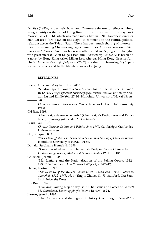*Du Men* (1996), respectively, have used Cantonese theatre to reflect on Hong Kong identity on the eve of Hong Kong's return to China. In his play *Peach Blossom Land* (1986), which was made into a film in 1992, Taiwanese director Stan Lai used "two plays on one stage" to comment on the cultural-political relations across the Taiwan Strait. There has been much sharing of interest in theatricality among Chinese-language communities. A revised version of Stan Lai's *Peach Blossom Land* has been recently revived in Beijing and Shanghai with great success. Chen Kaige's 1994 film, *Farewell My Concubine*, is based on a novel by Hong Kong writer Lillian Lee, whereas Hong Kong director Ann Hui's *The Postmodern Life of My Aunt* (2007), another film featuring *jingju* performance, is scripted by the Mainland writer Li Qiang.

#### **REFERENCES**

 "Shadow Opera: Toward a New Archaeology of the Chinese Cinema." In *Chinese-Language Film: Historiography, Poetics, Politics,* edited by Sheldon Lu and Emilie Yeh, 27–51. Honolulu: University of Hawai'i Press.  $-.2006.$ 

 *China on Screen: Cinema and Nation.* New York: Columbia University Press.

Cai Jian. 1998.

 "Chen Kaige de touru yu taobi" (Chen Kaige's Enthusiasm and Reluctance). *Dianying yishu* (Film Art) 4: 64–65.

Clark, Paul. 1987.

 *Chinese Cinema: Culture and Politics since 1949.* Cambridge: Cambridge University Press.

Cui, Shuqin. 2003.

 *Women through the Lens: Gender and Nation in a Century of Chinese Cinema.* Honolulu: University of Hawai'i Press.

Donald, Stephanie Hemelryk. 1998.

 "Symptoms of Alienation: The Female Body in Recent Chinese Film." *Continuum: Journal of Media and Cultural Studies* 12, 1: 91–103.

Goldstein, Joshua. 1999.

 "Mei Lanfang and the Nationalization of the Peking Opera, 1912– 1930." *Positions: East Asia Cultures Critique* 7, 2: 377–420.

Harris, Kristine. 1997.

*"The Romance of the Western Chamber."* In *Cinema and Urban Culture in Shanghai, 1922–1943,* ed. by Yingjin Zhang, 51–73. Stanford, CA: Stanford University Press.

Jun Bing. 1994.

 "Dianying Bawang bieji de deyushi" (The Gains and Losses of *Farewell My Concubine*). *Dianying pingjie* (Movie Review) 4: 24.

#### Larson, Wendy. 1997.

"The Concubine and the Figure of History: Chen Kaige's *Farewell My*